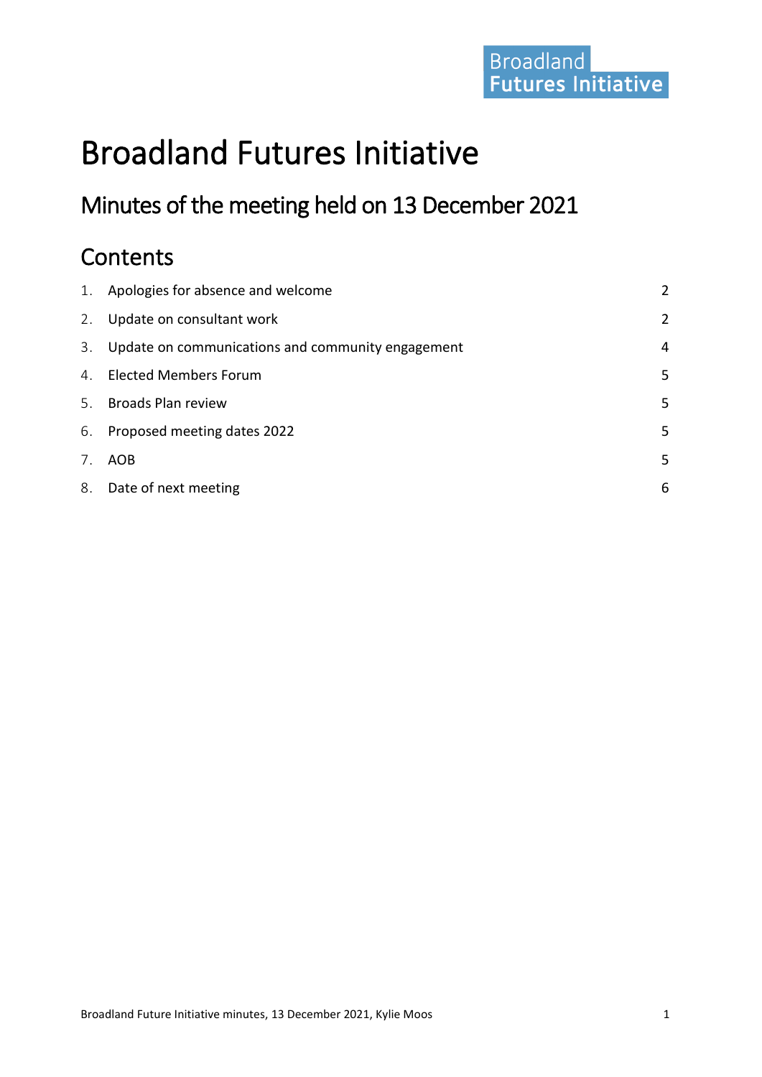# Broadland<br>Futures Initiative

# Broadland Futures Initiative

# Minutes of the meeting held on 13 December 2021

# **Contents**

| Update on consultant work<br>2.<br>Update on communications and community engagement<br>3.<br>4. Elected Members Forum<br><b>Broads Plan review</b><br>5.<br>6. Proposed meeting dates 2022<br>7.<br>AOB<br>8. Date of next meeting | 1. Apologies for absence and welcome | $\overline{2}$ |
|-------------------------------------------------------------------------------------------------------------------------------------------------------------------------------------------------------------------------------------|--------------------------------------|----------------|
|                                                                                                                                                                                                                                     |                                      | 2              |
|                                                                                                                                                                                                                                     |                                      | 4              |
|                                                                                                                                                                                                                                     |                                      | 5              |
|                                                                                                                                                                                                                                     |                                      | 5              |
|                                                                                                                                                                                                                                     |                                      | 5              |
|                                                                                                                                                                                                                                     |                                      | 5              |
|                                                                                                                                                                                                                                     |                                      | 6              |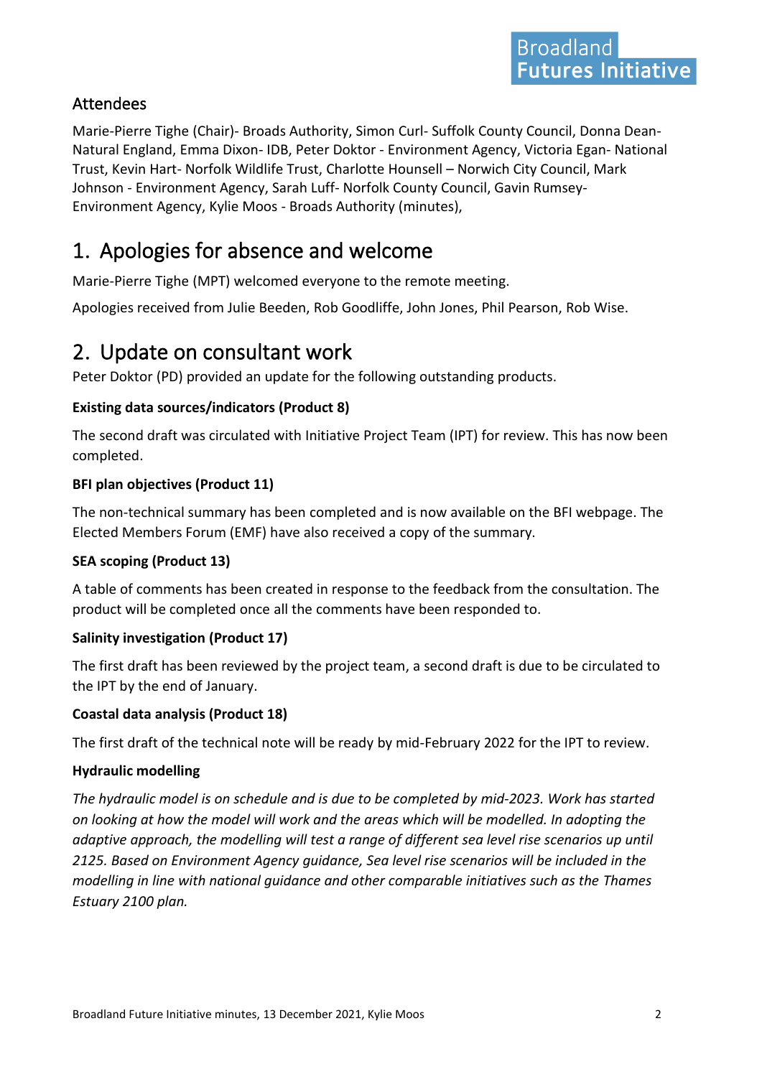#### Attendees

Marie-Pierre Tighe (Chair)- Broads Authority, Simon Curl- Suffolk County Council, Donna Dean-Natural England, Emma Dixon- IDB, Peter Doktor - Environment Agency, Victoria Egan- National Trust, Kevin Hart- Norfolk Wildlife Trust, Charlotte Hounsell – Norwich City Council, Mark Johnson - Environment Agency, Sarah Luff- Norfolk County Council, Gavin Rumsey-Environment Agency, Kylie Moos - Broads Authority (minutes),

# <span id="page-1-0"></span>1. Apologies for absence and welcome

Marie-Pierre Tighe (MPT) welcomed everyone to the remote meeting.

Apologies received from Julie Beeden, Rob Goodliffe, John Jones, Phil Pearson, Rob Wise.

### <span id="page-1-1"></span>2. Update on consultant work

Peter Doktor (PD) provided an update for the following outstanding products.

#### **Existing data sources/indicators (Product 8)**

The second draft was circulated with Initiative Project Team (IPT) for review. This has now been completed.

#### **BFI plan objectives (Product 11)**

The non-technical summary has been completed and is now available on the BFI webpage. The Elected Members Forum (EMF) have also received a copy of the summary.

#### **SEA scoping (Product 13)**

A table of comments has been created in response to the feedback from the consultation. The product will be completed once all the comments have been responded to.

#### **Salinity investigation (Product 17)**

The first draft has been reviewed by the project team, a second draft is due to be circulated to the IPT by the end of January.

#### **Coastal data analysis (Product 18)**

The first draft of the technical note will be ready by mid-February 2022 for the IPT to review.

#### **Hydraulic modelling**

*The hydraulic model is on schedule and is due to be completed by mid-2023. Work has started on looking at how the model will work and the areas which will be modelled. In adopting the adaptive approach, the modelling will test a range of different sea level rise scenarios up until 2125. Based on Environment Agency guidance, Sea level rise scenarios will be included in the modelling in line with national guidance and other comparable initiatives such as the Thames Estuary 2100 plan.*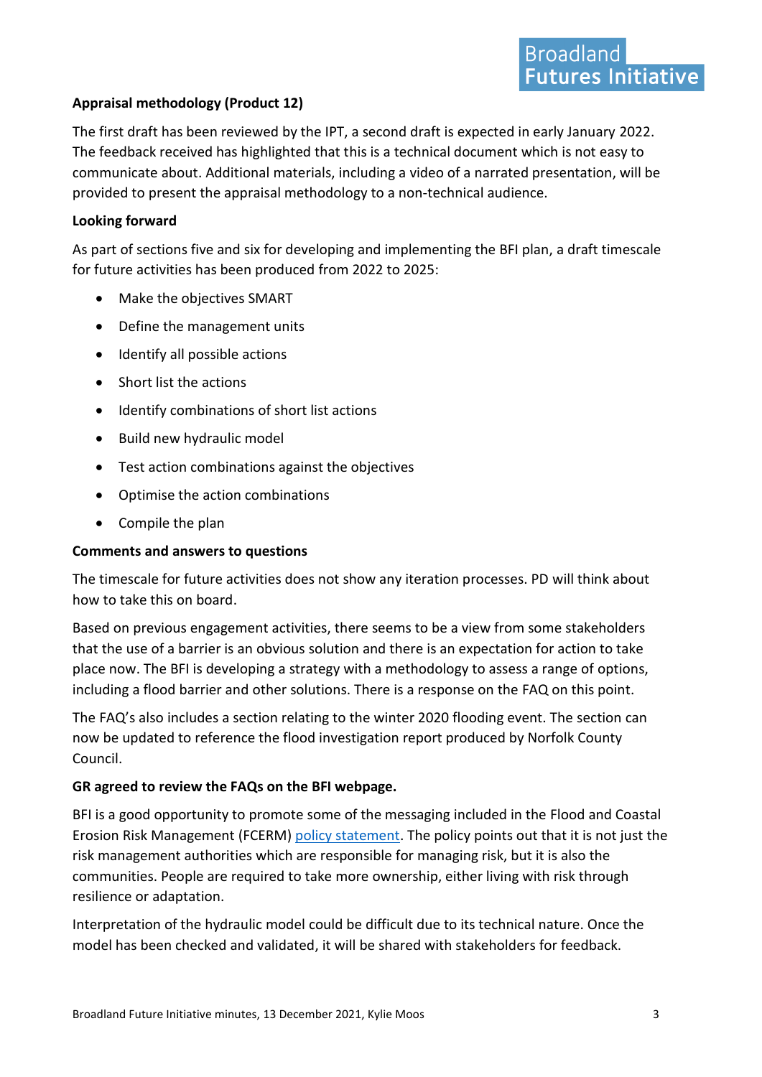#### **Appraisal methodology (Product 12)**

The first draft has been reviewed by the IPT, a second draft is expected in early January 2022. The feedback received has highlighted that this is a technical document which is not easy to communicate about. Additional materials, including a video of a narrated presentation, will be provided to present the appraisal methodology to a non-technical audience.

#### **Looking forward**

As part of sections five and six for developing and implementing the BFI plan, a draft timescale for future activities has been produced from 2022 to 2025:

- Make the objectives SMART
- Define the management units
- Identify all possible actions
- Short list the actions
- Identify combinations of short list actions
- Build new hydraulic model
- Test action combinations against the objectives
- Optimise the action combinations
- Compile the plan

#### **Comments and answers to questions**

The timescale for future activities does not show any iteration processes. PD will think about how to take this on board.

Based on previous engagement activities, there seems to be a view from some stakeholders that the use of a barrier is an obvious solution and there is an expectation for action to take place now. The BFI is developing a strategy with a methodology to assess a range of options, including a flood barrier and other solutions. There is a response on the FAQ on this point.

The FAQ's also includes a section relating to the winter 2020 flooding event. The section can now be updated to reference the flood investigation report produced by Norfolk County Council.

#### **GR agreed to review the FAQs on the BFI webpage.**

BFI is a good opportunity to promote some of the messaging included in the Flood and Coastal Erosion Risk Management (FCERM) [policy statement.](https://assets.publishing.service.gov.uk/government/uploads/system/uploads/attachment_data/file/903705/flood-coastal-erosion-policy-statement.pdf) The policy points out that it is not just the risk management authorities which are responsible for managing risk, but it is also the communities. People are required to take more ownership, either living with risk through resilience or adaptation.

Interpretation of the hydraulic model could be difficult due to its technical nature. Once the model has been checked and validated, it will be shared with stakeholders for feedback.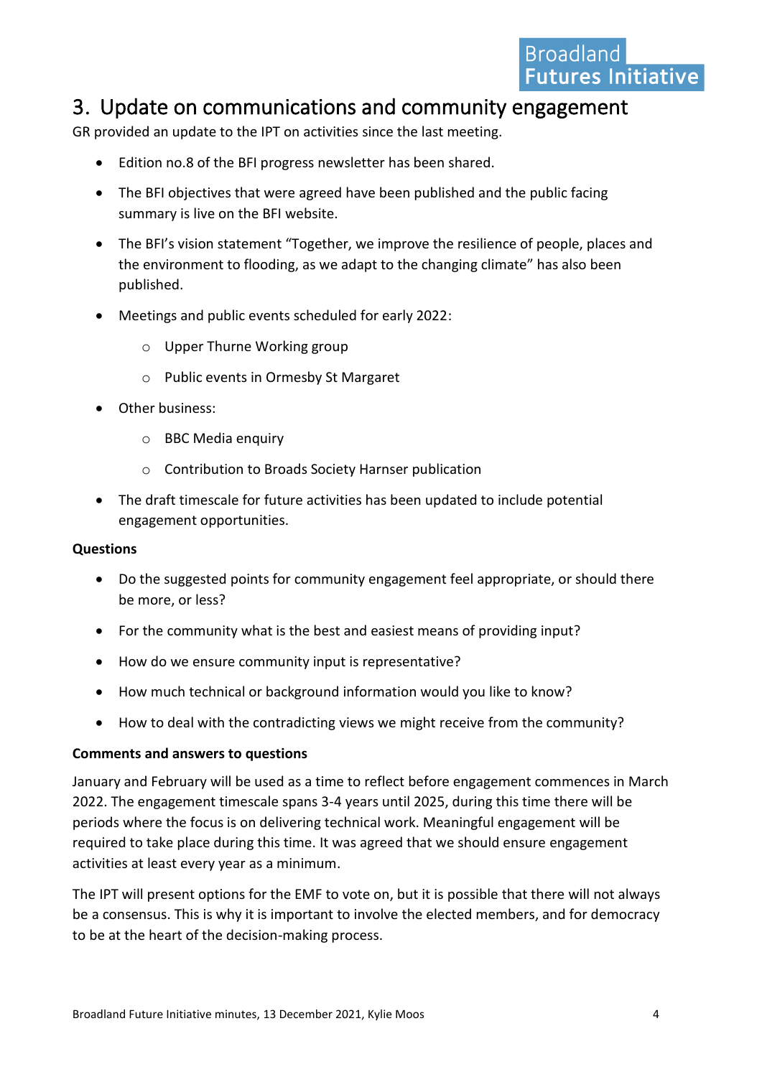### <span id="page-3-0"></span>3. Update on communications and community engagement

GR provided an update to the IPT on activities since the last meeting.

- Edition no.8 of the BFI progress newsletter has been shared.
- The BFI objectives that were agreed have been published and the public facing summary is live on the BFI website.
- The BFI's vision statement "Together, we improve the resilience of people, places and the environment to flooding, as we adapt to the changing climate" has also been published.
- Meetings and public events scheduled for early 2022:
	- o Upper Thurne Working group
	- o Public events in Ormesby St Margaret
- Other business:
	- o BBC Media enquiry
	- o Contribution to Broads Society Harnser publication
- The draft timescale for future activities has been updated to include potential engagement opportunities.

#### **Questions**

- Do the suggested points for community engagement feel appropriate, or should there be more, or less?
- For the community what is the best and easiest means of providing input?
- How do we ensure community input is representative?
- How much technical or background information would you like to know?
- How to deal with the contradicting views we might receive from the community?

#### **Comments and answers to questions**

January and February will be used as a time to reflect before engagement commences in March 2022. The engagement timescale spans 3-4 years until 2025, during this time there will be periods where the focus is on delivering technical work. Meaningful engagement will be required to take place during this time. It was agreed that we should ensure engagement activities at least every year as a minimum.

The IPT will present options for the EMF to vote on, but it is possible that there will not always be a consensus. This is why it is important to involve the elected members, and for democracy to be at the heart of the decision-making process.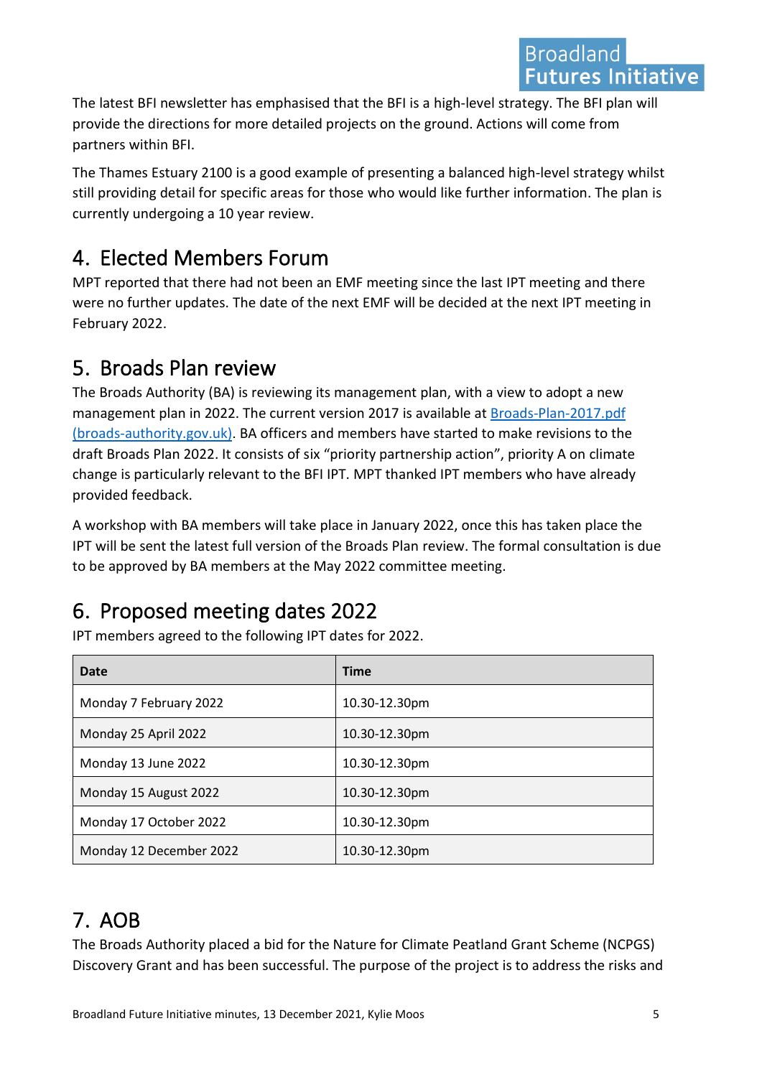The latest BFI newsletter has emphasised that the BFI is a high-level strategy. The BFI plan will provide the directions for more detailed projects on the ground. Actions will come from partners within BFI.

The Thames Estuary 2100 is a good example of presenting a balanced high-level strategy whilst still providing detail for specific areas for those who would like further information. The plan is currently undergoing a 10 year review.

# <span id="page-4-0"></span>4. Elected Members Forum

MPT reported that there had not been an EMF meeting since the last IPT meeting and there were no further updates. The date of the next EMF will be decided at the next IPT meeting in February 2022.

# <span id="page-4-1"></span>5. Broads Plan review

The Broads Authority (BA) is reviewing its management plan, with a view to adopt a new management plan in 2022. The current version 2017 is available at [Broads-Plan-2017.pdf](https://www.broads-authority.gov.uk/__data/assets/pdf_file/0023/240665/Broads-Plan-2017.pdf)  [\(broads-authority.gov.uk\)](https://www.broads-authority.gov.uk/__data/assets/pdf_file/0023/240665/Broads-Plan-2017.pdf). BA officers and members have started to make revisions to the draft Broads Plan 2022. It consists of six "priority partnership action", priority A on climate change is particularly relevant to the BFI IPT. MPT thanked IPT members who have already provided feedback.

A workshop with BA members will take place in January 2022, once this has taken place the IPT will be sent the latest full version of the Broads Plan review. The formal consultation is due to be approved by BA members at the May 2022 committee meeting.

# <span id="page-4-2"></span>6. Proposed meeting dates 2022

IPT members agreed to the following IPT dates for 2022.

| Date                    | <b>Time</b>   |
|-------------------------|---------------|
| Monday 7 February 2022  | 10.30-12.30pm |
| Monday 25 April 2022    | 10.30-12.30pm |
| Monday 13 June 2022     | 10.30-12.30pm |
| Monday 15 August 2022   | 10.30-12.30pm |
| Monday 17 October 2022  | 10.30-12.30pm |
| Monday 12 December 2022 | 10.30-12.30pm |

# <span id="page-4-3"></span>7. AOB

The Broads Authority placed a bid for the Nature for Climate Peatland Grant Scheme (NCPGS) Discovery Grant and has been successful. The purpose of the project is to address the risks and